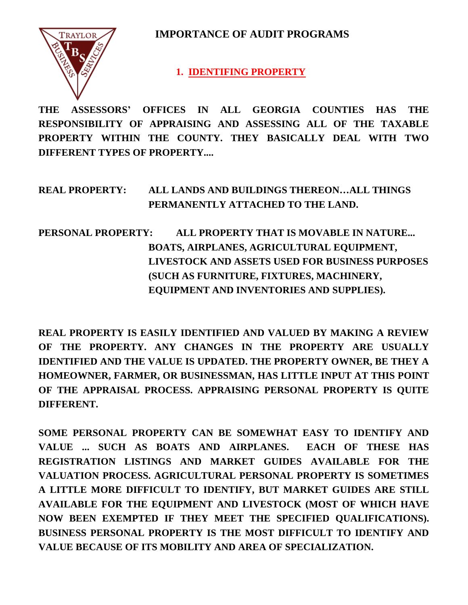**IMPORTANCE OF AUDIT PROGRAMS**



 **1. IDENTIFING PROPERTY** 

**THE ASSESSORS' OFFICES IN ALL GEORGIA COUNTIES HAS THE RESPONSIBILITY OF APPRAISING AND ASSESSING ALL OF THE TAXABLE PROPERTY WITHIN THE COUNTY. THEY BASICALLY DEAL WITH TWO DIFFERENT TYPES OF PROPERTY....**

**REAL PROPERTY: ALL LANDS AND BUILDINGS THEREON…ALL THINGS PERMANENTLY ATTACHED TO THE LAND.**

**PERSONAL PROPERTY: ALL PROPERTY THAT IS MOVABLE IN NATURE... BOATS, AIRPLANES, AGRICULTURAL EQUIPMENT, LIVESTOCK AND ASSETS USED FOR BUSINESS PURPOSES (SUCH AS FURNITURE, FIXTURES, MACHINERY, EQUIPMENT AND INVENTORIES AND SUPPLIES).**

**REAL PROPERTY IS EASILY IDENTIFIED AND VALUED BY MAKING A REVIEW OF THE PROPERTY. ANY CHANGES IN THE PROPERTY ARE USUALLY IDENTIFIED AND THE VALUE IS UPDATED. THE PROPERTY OWNER, BE THEY A HOMEOWNER, FARMER, OR BUSINESSMAN, HAS LITTLE INPUT AT THIS POINT OF THE APPRAISAL PROCESS. APPRAISING PERSONAL PROPERTY IS QUITE DIFFERENT.**

**SOME PERSONAL PROPERTY CAN BE SOMEWHAT EASY TO IDENTIFY AND VALUE ... SUCH AS BOATS AND AIRPLANES. EACH OF THESE HAS REGISTRATION LISTINGS AND MARKET GUIDES AVAILABLE FOR THE VALUATION PROCESS. AGRICULTURAL PERSONAL PROPERTY IS SOMETIMES A LITTLE MORE DIFFICULT TO IDENTIFY, BUT MARKET GUIDES ARE STILL AVAILABLE FOR THE EQUIPMENT AND LIVESTOCK (MOST OF WHICH HAVE NOW BEEN EXEMPTED IF THEY MEET THE SPECIFIED QUALIFICATIONS). BUSINESS PERSONAL PROPERTY IS THE MOST DIFFICULT TO IDENTIFY AND VALUE BECAUSE OF ITS MOBILITY AND AREA OF SPECIALIZATION.**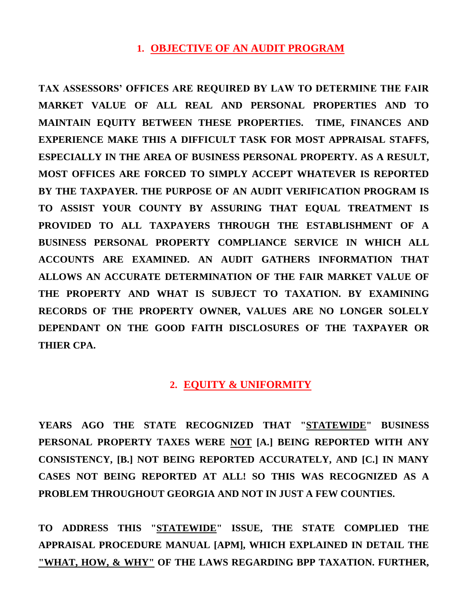# **1. OBJECTIVE OF AN AUDIT PROGRAM**

**TAX ASSESSORS' OFFICES ARE REQUIRED BY LAW TO DETERMINE THE FAIR MARKET VALUE OF ALL REAL AND PERSONAL PROPERTIES AND TO MAINTAIN EQUITY BETWEEN THESE PROPERTIES. TIME, FINANCES AND EXPERIENCE MAKE THIS A DIFFICULT TASK FOR MOST APPRAISAL STAFFS, ESPECIALLY IN THE AREA OF BUSINESS PERSONAL PROPERTY. AS A RESULT, MOST OFFICES ARE FORCED TO SIMPLY ACCEPT WHATEVER IS REPORTED BY THE TAXPAYER. THE PURPOSE OF AN AUDIT VERIFICATION PROGRAM IS TO ASSIST YOUR COUNTY BY ASSURING THAT EQUAL TREATMENT IS PROVIDED TO ALL TAXPAYERS THROUGH THE ESTABLISHMENT OF A BUSINESS PERSONAL PROPERTY COMPLIANCE SERVICE IN WHICH ALL ACCOUNTS ARE EXAMINED. AN AUDIT GATHERS INFORMATION THAT ALLOWS AN ACCURATE DETERMINATION OF THE FAIR MARKET VALUE OF THE PROPERTY AND WHAT IS SUBJECT TO TAXATION. BY EXAMINING RECORDS OF THE PROPERTY OWNER, VALUES ARE NO LONGER SOLELY DEPENDANT ON THE GOOD FAITH DISCLOSURES OF THE TAXPAYER OR THIER CPA.**

## **2. EQUITY & UNIFORMITY**

**YEARS AGO THE STATE RECOGNIZED THAT "STATEWIDE" BUSINESS PERSONAL PROPERTY TAXES WERE NOT [A.] BEING REPORTED WITH ANY CONSISTENCY, [B.] NOT BEING REPORTED ACCURATELY, AND [C.] IN MANY CASES NOT BEING REPORTED AT ALL! SO THIS WAS RECOGNIZED AS A PROBLEM THROUGHOUT GEORGIA AND NOT IN JUST A FEW COUNTIES.** 

**TO ADDRESS THIS "STATEWIDE" ISSUE, THE STATE COMPLIED THE APPRAISAL PROCEDURE MANUAL [APM], WHICH EXPLAINED IN DETAIL THE "WHAT, HOW, & WHY" OF THE LAWS REGARDING BPP TAXATION. FURTHER,**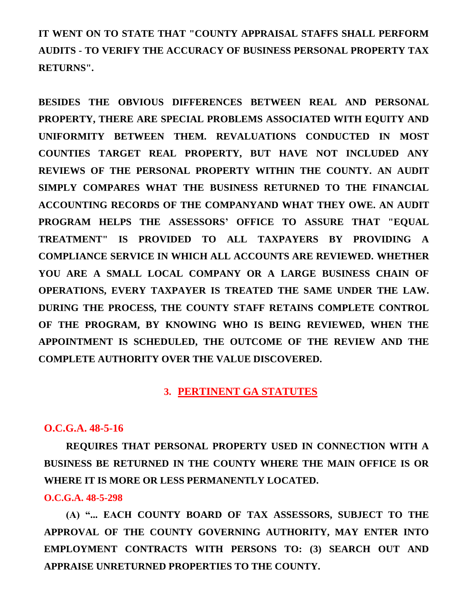**IT WENT ON TO STATE THAT "COUNTY APPRAISAL STAFFS SHALL PERFORM AUDITS - TO VERIFY THE ACCURACY OF BUSINESS PERSONAL PROPERTY TAX RETURNS".**

**BESIDES THE OBVIOUS DIFFERENCES BETWEEN REAL AND PERSONAL PROPERTY, THERE ARE SPECIAL PROBLEMS ASSOCIATED WITH EQUITY AND UNIFORMITY BETWEEN THEM. REVALUATIONS CONDUCTED IN MOST COUNTIES TARGET REAL PROPERTY, BUT HAVE NOT INCLUDED ANY REVIEWS OF THE PERSONAL PROPERTY WITHIN THE COUNTY. AN AUDIT SIMPLY COMPARES WHAT THE BUSINESS RETURNED TO THE FINANCIAL ACCOUNTING RECORDS OF THE COMPANYAND WHAT THEY OWE. AN AUDIT PROGRAM HELPS THE ASSESSORS' OFFICE TO ASSURE THAT "EQUAL TREATMENT" IS PROVIDED TO ALL TAXPAYERS BY PROVIDING A COMPLIANCE SERVICE IN WHICH ALL ACCOUNTS ARE REVIEWED. WHETHER YOU ARE A SMALL LOCAL COMPANY OR A LARGE BUSINESS CHAIN OF OPERATIONS, EVERY TAXPAYER IS TREATED THE SAME UNDER THE LAW. DURING THE PROCESS, THE COUNTY STAFF RETAINS COMPLETE CONTROL OF THE PROGRAM, BY KNOWING WHO IS BEING REVIEWED, WHEN THE APPOINTMENT IS SCHEDULED, THE OUTCOME OF THE REVIEW AND THE COMPLETE AUTHORITY OVER THE VALUE DISCOVERED.**

## **3. PERTINENT GA STATUTES**

#### **O.C.G.A. 48-5-16**

**REQUIRES THAT PERSONAL PROPERTY USED IN CONNECTION WITH A BUSINESS BE RETURNED IN THE COUNTY WHERE THE MAIN OFFICE IS OR WHERE IT IS MORE OR LESS PERMANENTLY LOCATED.**

#### **O.C.G.A. 48-5-298**

**(A) "... EACH COUNTY BOARD OF TAX ASSESSORS, SUBJECT TO THE APPROVAL OF THE COUNTY GOVERNING AUTHORITY, MAY ENTER INTO EMPLOYMENT CONTRACTS WITH PERSONS TO: (3) SEARCH OUT AND APPRAISE UNRETURNED PROPERTIES TO THE COUNTY.**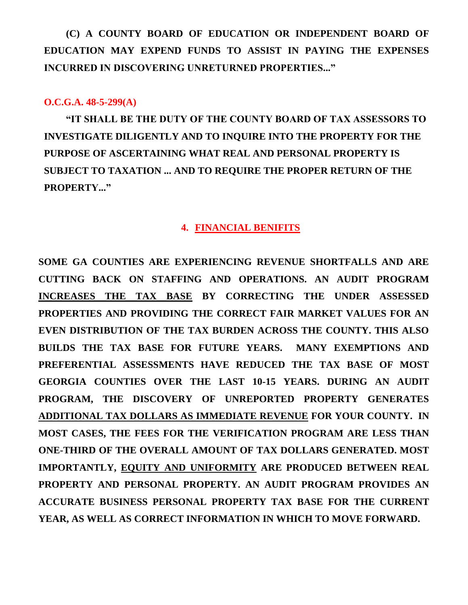**(C) A COUNTY BOARD OF EDUCATION OR INDEPENDENT BOARD OF EDUCATION MAY EXPEND FUNDS TO ASSIST IN PAYING THE EXPENSES INCURRED IN DISCOVERING UNRETURNED PROPERTIES..."** 

#### **O.C.G.A. 48-5-299(A)**

**"IT SHALL BE THE DUTY OF THE COUNTY BOARD OF TAX ASSESSORS TO INVESTIGATE DILIGENTLY AND TO INQUIRE INTO THE PROPERTY FOR THE PURPOSE OF ASCERTAINING WHAT REAL AND PERSONAL PROPERTY IS SUBJECT TO TAXATION ... AND TO REQUIRE THE PROPER RETURN OF THE PROPERTY..."** 

#### **4. FINANCIAL BENIFITS**

**SOME GA COUNTIES ARE EXPERIENCING REVENUE SHORTFALLS AND ARE CUTTING BACK ON STAFFING AND OPERATIONS. AN AUDIT PROGRAM INCREASES THE TAX BASE BY CORRECTING THE UNDER ASSESSED PROPERTIES AND PROVIDING THE CORRECT FAIR MARKET VALUES FOR AN EVEN DISTRIBUTION OF THE TAX BURDEN ACROSS THE COUNTY. THIS ALSO BUILDS THE TAX BASE FOR FUTURE YEARS. MANY EXEMPTIONS AND PREFERENTIAL ASSESSMENTS HAVE REDUCED THE TAX BASE OF MOST GEORGIA COUNTIES OVER THE LAST 10-15 YEARS. DURING AN AUDIT PROGRAM, THE DISCOVERY OF UNREPORTED PROPERTY GENERATES ADDITIONAL TAX DOLLARS AS IMMEDIATE REVENUE FOR YOUR COUNTY. IN MOST CASES, THE FEES FOR THE VERIFICATION PROGRAM ARE LESS THAN ONE-THIRD OF THE OVERALL AMOUNT OF TAX DOLLARS GENERATED. MOST IMPORTANTLY, EQUITY AND UNIFORMITY ARE PRODUCED BETWEEN REAL PROPERTY AND PERSONAL PROPERTY. AN AUDIT PROGRAM PROVIDES AN ACCURATE BUSINESS PERSONAL PROPERTY TAX BASE FOR THE CURRENT YEAR, AS WELL AS CORRECT INFORMATION IN WHICH TO MOVE FORWARD.**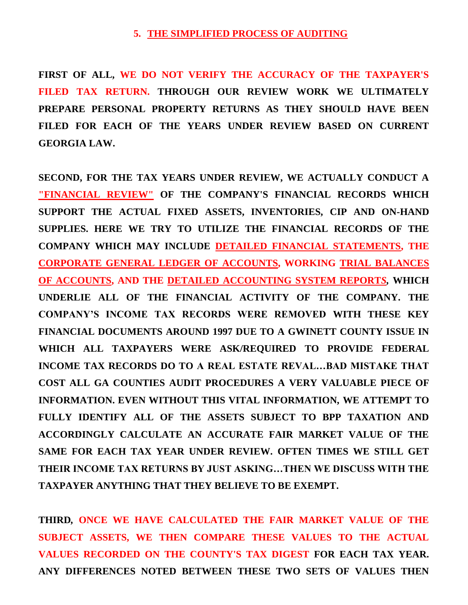#### **5. THE SIMPLIFIED PROCESS OF AUDITING**

**FIRST OF ALL, WE DO NOT VERIFY THE ACCURACY OF THE TAXPAYER'S FILED TAX RETURN. THROUGH OUR REVIEW WORK WE ULTIMATELY PREPARE PERSONAL PROPERTY RETURNS AS THEY SHOULD HAVE BEEN FILED FOR EACH OF THE YEARS UNDER REVIEW BASED ON CURRENT GEORGIA LAW.**

**SECOND, FOR THE TAX YEARS UNDER REVIEW, WE ACTUALLY CONDUCT A "FINANCIAL REVIEW" OF THE COMPANY'S FINANCIAL RECORDS WHICH SUPPORT THE ACTUAL FIXED ASSETS, INVENTORIES, CIP AND ON-HAND SUPPLIES. HERE WE TRY TO UTILIZE THE FINANCIAL RECORDS OF THE COMPANY WHICH MAY INCLUDE DETAILED FINANCIAL STATEMENTS, THE CORPORATE GENERAL LEDGER OF ACCOUNTS, WORKING TRIAL BALANCES OF ACCOUNTS, AND THE DETAILED ACCOUNTING SYSTEM REPORT***S,* **WHICH UNDERLIE ALL OF THE FINANCIAL ACTIVITY OF THE COMPANY. THE COMPANY'S INCOME TAX RECORDS WERE REMOVED WITH THESE KEY FINANCIAL DOCUMENTS AROUND 1997 DUE TO A GWINETT COUNTY ISSUE IN WHICH ALL TAXPAYERS WERE ASK/REQUIRED TO PROVIDE FEDERAL INCOME TAX RECORDS DO TO A REAL ESTATE REVAL…BAD MISTAKE THAT COST ALL GA COUNTIES AUDIT PROCEDURES A VERY VALUABLE PIECE OF INFORMATION. EVEN WITHOUT THIS VITAL INFORMATION, WE ATTEMPT TO FULLY IDENTIFY ALL OF THE ASSETS SUBJECT TO BPP TAXATION AND ACCORDINGLY CALCULATE AN ACCURATE FAIR MARKET VALUE OF THE SAME FOR EACH TAX YEAR UNDER REVIEW. OFTEN TIMES WE STILL GET THEIR INCOME TAX RETURNS BY JUST ASKING…THEN WE DISCUSS WITH THE TAXPAYER ANYTHING THAT THEY BELIEVE TO BE EXEMPT.**

**THIRD***,* **ONCE WE HAVE CALCULATED THE FAIR MARKET VALUE OF THE SUBJECT ASSETS, WE THEN COMPARE THESE VALUES TO THE ACTUAL VALUES RECORDED ON THE COUNTY'S TAX DIGEST FOR EACH TAX YEAR. ANY DIFFERENCES NOTED BETWEEN THESE TWO SETS OF VALUES THEN**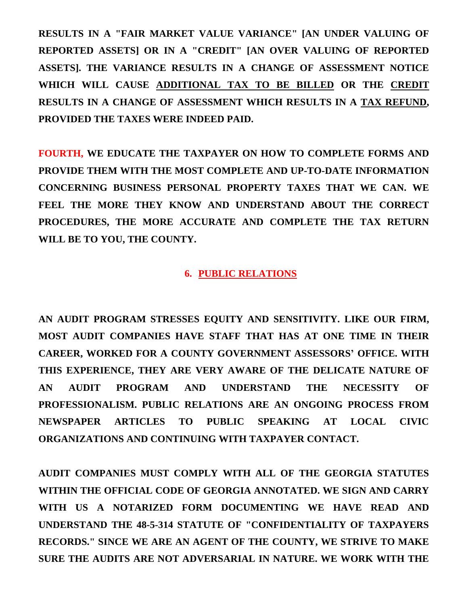**RESULTS IN A "FAIR MARKET VALUE VARIANCE" [AN UNDER VALUING OF REPORTED ASSETS] OR IN A "CREDIT" [AN OVER VALUING OF REPORTED ASSETS]. THE VARIANCE RESULTS IN A CHANGE OF ASSESSMENT NOTICE WHICH WILL CAUSE ADDITIONAL TAX TO BE BILLED OR THE CREDIT RESULTS IN A CHANGE OF ASSESSMENT WHICH RESULTS IN A TAX REFUND, PROVIDED THE TAXES WERE INDEED PAID.**

**FOURTH, WE EDUCATE THE TAXPAYER ON HOW TO COMPLETE FORMS AND PROVIDE THEM WITH THE MOST COMPLETE AND UP-TO-DATE INFORMATION CONCERNING BUSINESS PERSONAL PROPERTY TAXES THAT WE CAN. WE FEEL THE MORE THEY KNOW AND UNDERSTAND ABOUT THE CORRECT PROCEDURES, THE MORE ACCURATE AND COMPLETE THE TAX RETURN WILL BE TO YOU, THE COUNTY.**

## **6. PUBLIC RELATIONS**

**AN AUDIT PROGRAM STRESSES EQUITY AND SENSITIVITY. LIKE OUR FIRM, MOST AUDIT COMPANIES HAVE STAFF THAT HAS AT ONE TIME IN THEIR CAREER, WORKED FOR A COUNTY GOVERNMENT ASSESSORS' OFFICE. WITH THIS EXPERIENCE, THEY ARE VERY AWARE OF THE DELICATE NATURE OF AN AUDIT PROGRAM AND UNDERSTAND THE NECESSITY OF PROFESSIONALISM. PUBLIC RELATIONS ARE AN ONGOING PROCESS FROM NEWSPAPER ARTICLES TO PUBLIC SPEAKING AT LOCAL CIVIC ORGANIZATIONS AND CONTINUING WITH TAXPAYER CONTACT.** 

**AUDIT COMPANIES MUST COMPLY WITH ALL OF THE GEORGIA STATUTES WITHIN THE OFFICIAL CODE OF GEORGIA ANNOTATED. WE SIGN AND CARRY WITH US A NOTARIZED FORM DOCUMENTING WE HAVE READ AND UNDERSTAND THE 48-5-314 STATUTE OF "CONFIDENTIALITY OF TAXPAYERS RECORDS." SINCE WE ARE AN AGENT OF THE COUNTY, WE STRIVE TO MAKE SURE THE AUDITS ARE NOT ADVERSARIAL IN NATURE. WE WORK WITH THE**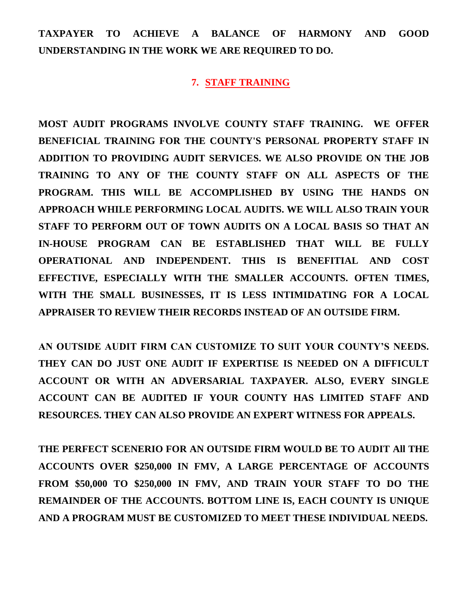**TAXPAYER TO ACHIEVE A BALANCE OF HARMONY AND GOOD UNDERSTANDING IN THE WORK WE ARE REQUIRED TO DO.** 

#### **7. STAFF TRAINING**

**MOST AUDIT PROGRAMS INVOLVE COUNTY STAFF TRAINING. WE OFFER BENEFICIAL TRAINING FOR THE COUNTY'S PERSONAL PROPERTY STAFF IN ADDITION TO PROVIDING AUDIT SERVICES. WE ALSO PROVIDE ON THE JOB TRAINING TO ANY OF THE COUNTY STAFF ON ALL ASPECTS OF THE PROGRAM. THIS WILL BE ACCOMPLISHED BY USING THE HANDS ON APPROACH WHILE PERFORMING LOCAL AUDITS. WE WILL ALSO TRAIN YOUR STAFF TO PERFORM OUT OF TOWN AUDITS ON A LOCAL BASIS SO THAT AN IN-HOUSE PROGRAM CAN BE ESTABLISHED THAT WILL BE FULLY OPERATIONAL AND INDEPENDENT. THIS IS BENEFITIAL AND COST EFFECTIVE, ESPECIALLY WITH THE SMALLER ACCOUNTS. OFTEN TIMES, WITH THE SMALL BUSINESSES, IT IS LESS INTIMIDATING FOR A LOCAL APPRAISER TO REVIEW THEIR RECORDS INSTEAD OF AN OUTSIDE FIRM.** 

**AN OUTSIDE AUDIT FIRM CAN CUSTOMIZE TO SUIT YOUR COUNTY'S NEEDS. THEY CAN DO JUST ONE AUDIT IF EXPERTISE IS NEEDED ON A DIFFICULT ACCOUNT OR WITH AN ADVERSARIAL TAXPAYER. ALSO, EVERY SINGLE ACCOUNT CAN BE AUDITED IF YOUR COUNTY HAS LIMITED STAFF AND RESOURCES. THEY CAN ALSO PROVIDE AN EXPERT WITNESS FOR APPEALS.** 

**THE PERFECT SCENERIO FOR AN OUTSIDE FIRM WOULD BE TO AUDIT All THE ACCOUNTS OVER \$250,000 IN FMV, A LARGE PERCENTAGE OF ACCOUNTS FROM \$50,000 TO \$250,000 IN FMV, AND TRAIN YOUR STAFF TO DO THE REMAINDER OF THE ACCOUNTS. BOTTOM LINE IS, EACH COUNTY IS UNIQUE AND A PROGRAM MUST BE CUSTOMIZED TO MEET THESE INDIVIDUAL NEEDS.**